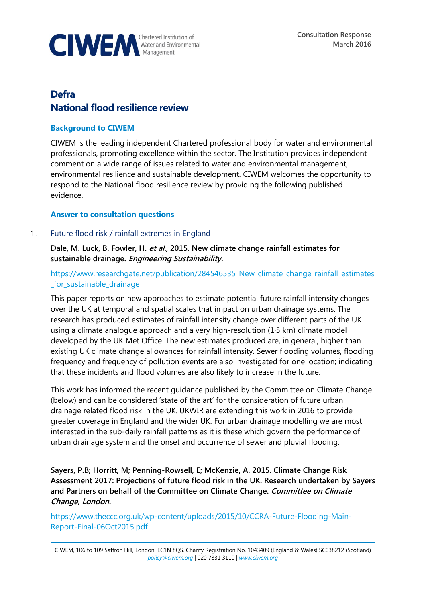

# **Defra National flood resilience review**

# **Background to CIWEM**

CIWEM is the leading independent Chartered professional body for water and environmental professionals, promoting excellence within the sector. The Institution provides independent comment on a wide range of issues related to water and environmental management, environmental resilience and sustainable development. CIWEM welcomes the opportunity to respond to the National flood resilience review by providing the following published evidence.

#### **Answer to consultation questions**

#### $1.$ Future flood risk / rainfall extremes in England

**Dale, M. Luck, B. Fowler, H. et al., 2015. New climate change rainfall estimates for sustainable drainage. Engineering Sustainability.**

https://www.researchgate.net/publication/284546535 New climate change rainfall estimates [\\_for\\_sustainable\\_drainage](https://www.researchgate.net/publication/284546535_New_climate_change_rainfall_estimates_for_sustainable_drainage)

This paper reports on new approaches to estimate potential future rainfall intensity changes over the UK at temporal and spatial scales that impact on urban drainage systems. The research has produced estimates of rainfall intensity change over different parts of the UK using a climate analogue approach and a very high-resolution (1·5 km) climate model developed by the UK Met Office. The new estimates produced are, in general, higher than existing UK climate change allowances for rainfall intensity. Sewer flooding volumes, flooding frequency and frequency of pollution events are also investigated for one location; indicating that these incidents and flood volumes are also likely to increase in the future.

This work has informed the recent guidance published by the Committee on Climate Change (below) and can be considered 'state of the art' for the consideration of future urban drainage related flood risk in the UK. UKWIR are extending this work in 2016 to provide greater coverage in England and the wider UK. For urban drainage modelling we are most interested in the sub-daily rainfall patterns as it is these which govern the performance of urban drainage system and the onset and occurrence of sewer and pluvial flooding.

**Sayers, P.B; Horritt, M; Penning-Rowsell, E; McKenzie, A. 2015. Climate Change Risk Assessment 2017: Projections of future flood risk in the UK. Research undertaken by Sayers and Partners on behalf of the Committee on Climate Change. Committee on Climate Change, London.**

[https://www.theccc.org.uk/wp-content/uploads/2015/10/CCRA-Future-Flooding-Main-](https://www.theccc.org.uk/wp-content/uploads/2015/10/CCRA-Future-Flooding-Main-Report-Final-06Oct2015.pdf)[Report-Final-06Oct2015.pdf](https://www.theccc.org.uk/wp-content/uploads/2015/10/CCRA-Future-Flooding-Main-Report-Final-06Oct2015.pdf)

CIWEM, 106 to 109 Saffron Hill, London, EC1N 8QS. Charity Registration No. 1043409 (England & Wales) SC038212 (Scotland) *[policy@ciwem.org](mailto:policy@ciwem.org)* | 020 7831 3110 | *[www.ciwem.org](http://www.ciwem.org/)*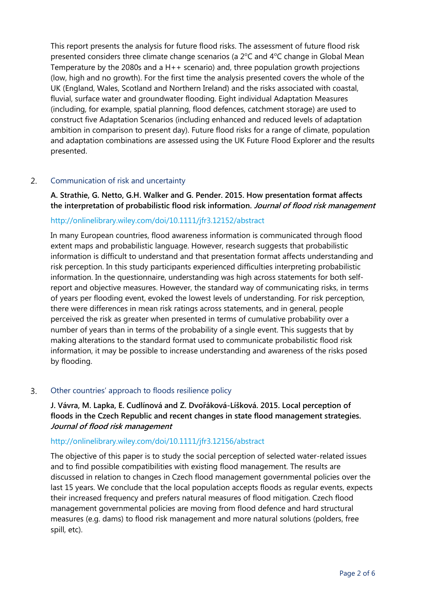This report presents the analysis for future flood risks. The assessment of future flood risk presented considers three climate change scenarios (a  $2^{\circ}$ C and  $4^{\circ}$ C change in Global Mean Temperature by the 2080s and a H++ scenario) and, three population growth projections (low, high and no growth). For the first time the analysis presented covers the whole of the UK (England, Wales, Scotland and Northern Ireland) and the risks associated with coastal, fluvial, surface water and groundwater flooding. Eight individual Adaptation Measures (including, for example, spatial planning, flood defences, catchment storage) are used to construct five Adaptation Scenarios (including enhanced and reduced levels of adaptation ambition in comparison to present day). Future flood risks for a range of climate, population and adaptation combinations are assessed using the UK Future Flood Explorer and the results presented.

#### $2.$ Communication of risk and uncertainty

**A. Strathie, G. Netto, G.H. Walker and G. Pender. 2015. How presentation format affects the interpretation of probabilistic flood risk information. Journal of flood risk management**

# <http://onlinelibrary.wiley.com/doi/10.1111/jfr3.12152/abstract>

In many European countries, flood awareness information is communicated through flood extent maps and probabilistic language. However, research suggests that probabilistic information is difficult to understand and that presentation format affects understanding and risk perception. In this study participants experienced difficulties interpreting probabilistic information. In the questionnaire, understanding was high across statements for both selfreport and objective measures. However, the standard way of communicating risks, in terms of years per flooding event, evoked the lowest levels of understanding. For risk perception, there were differences in mean risk ratings across statements, and in general, people perceived the risk as greater when presented in terms of cumulative probability over a number of years than in terms of the probability of a single event. This suggests that by making alterations to the standard format used to communicate probabilistic flood risk information, it may be possible to increase understanding and awareness of the risks posed by flooding.

#### 3. Other countries' approach to floods resilience policy

**J. Vávra, M. Lapka, E. Cudlínová and Z. Dvořáková-Líšková. 2015. Local perception of floods in the Czech Republic and recent changes in state flood management strategies. Journal of flood risk management**

#### <http://onlinelibrary.wiley.com/doi/10.1111/jfr3.12156/abstract>

The objective of this paper is to study the social perception of selected water-related issues and to find possible compatibilities with existing flood management. The results are discussed in relation to changes in Czech flood management governmental policies over the last 15 years. We conclude that the local population accepts floods as regular events, expects their increased frequency and prefers natural measures of flood mitigation. Czech flood management governmental policies are moving from flood defence and hard structural measures (e.g. dams) to flood risk management and more natural solutions (polders, free spill, etc).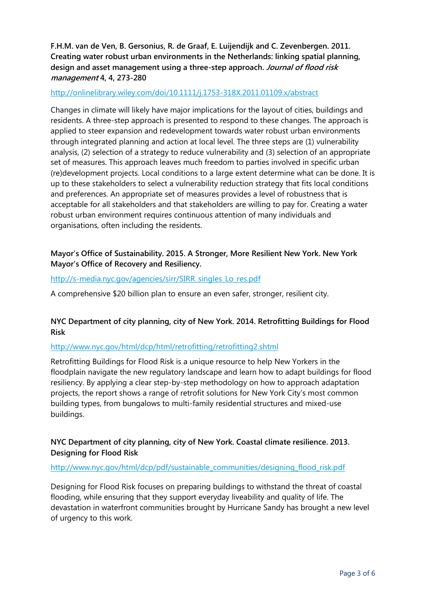# **F.H.M. van de Ven, B. Gersonius, R. de Graaf, E. Luijendijk and C. Zevenbergen. 2011. Creating water robust urban environments in the Netherlands: linking spatial planning, design and asset management using a three-step approach. Journal of flood risk management 4, 4, 273-280**

#### <http://onlinelibrary.wiley.com/doi/10.1111/j.1753-318X.2011.01109.x/abstract>

Changes in climate will likely have major implications for the layout of cities, buildings and residents. A three-step approach is presented to respond to these changes. The approach is applied to steer expansion and redevelopment towards water robust urban environments through integrated planning and action at local level. The three steps are (1) vulnerability analysis, (2) selection of a strategy to reduce vulnerability and (3) selection of an appropriate set of measures. This approach leaves much freedom to parties involved in specific urban (re)development projects. Local conditions to a large extent determine what can be done. It is up to these stakeholders to select a vulnerability reduction strategy that fits local conditions and preferences. An appropriate set of measures provides a level of robustness that is acceptable for all stakeholders and that stakeholders are willing to pay for. Creating a water robust urban environment requires continuous attention of many individuals and organisations, often including the residents.

# **Mayor's Office of Sustainability. 2015. A Stronger, More Resilient New York. New York Mayor's Office of Recovery and Resiliency.**

### [http://s-media.nyc.gov/agencies/sirr/SIRR\\_singles\\_Lo\\_res.pdf](http://s-media.nyc.gov/agencies/sirr/SIRR_singles_Lo_res.pdf)

A comprehensive \$20 billion plan to ensure an even safer, stronger, resilient city.

# **NYC Department of city planning, city of New York. 2014. Retrofitting Buildings for Flood Risk**

#### <http://www.nyc.gov/html/dcp/html/retrofitting/retrofitting2.shtml>

Retrofitting Buildings for Flood Risk is a unique resource to help New Yorkers in the floodplain navigate the new regulatory landscape and learn how to adapt buildings for flood resiliency. By applying a clear step-by-step methodology on how to approach adaptation projects, the report shows a range of retrofit solutions for New York City's most common building types, from bungalows to multi-family residential structures and mixed-use buildings.

# **NYC Department of city planning, city of New York. Coastal climate resilience. 2013. Designing for Flood Risk**

#### [http://www.nyc.gov/html/dcp/pdf/sustainable\\_communities/designing\\_flood\\_risk.pdf](http://www.nyc.gov/html/dcp/pdf/sustainable_communities/designing_flood_risk.pdf)

Designing for Flood Risk focuses on preparing buildings to withstand the threat of coastal flooding, while ensuring that they support everyday liveability and quality of life. The devastation in waterfront communities brought by Hurricane Sandy has brought a new level of urgency to this work.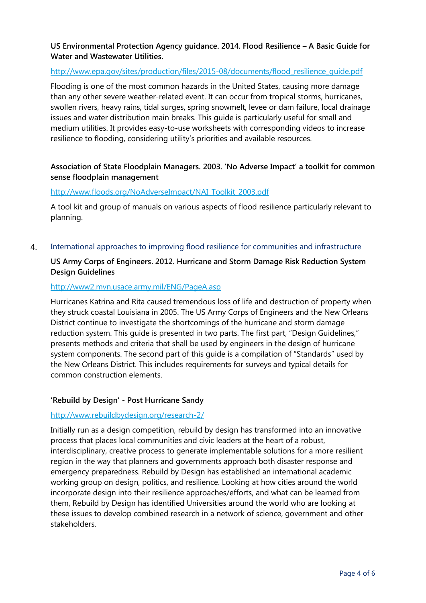# **US Environmental Protection Agency guidance. 2014. Flood Resilience – A Basic Guide for Water and Wastewater Utilities.**

## [http://www.epa.gov/sites/production/files/2015-08/documents/flood\\_resilience\\_guide.pdf](http://www.epa.gov/sites/production/files/2015-08/documents/flood_resilience_guide.pdf)

Flooding is one of the most common hazards in the United States, causing more damage than any other severe weather-related event. It can occur from tropical storms, hurricanes, swollen rivers, heavy rains, tidal surges, spring snowmelt, levee or dam failure, local drainage issues and water distribution main breaks. This guide is particularly useful for small and medium utilities. It provides easy-to-use worksheets with corresponding videos to increase resilience to flooding, considering utility's priorities and available resources.

# **Association of State Floodplain Managers. 2003. 'No Adverse Impact' a toolkit for common sense floodplain management**

#### [http://www.floods.org/NoAdverseImpact/NAI\\_Toolkit\\_2003.pdf](http://www.floods.org/NoAdverseImpact/NAI_Toolkit_2003.pdf)

A tool kit and group of manuals on various aspects of flood resilience particularly relevant to planning.

 $4.$ International approaches to improving flood resilience for communities and infrastructure

# **US Army Corps of Engineers. 2012. Hurricane and Storm Damage Risk Reduction System Design Guidelines**

#### http://www2.mvn.usace.army.mil/ENG/PageA.asp

Hurricanes Katrina and Rita caused tremendous loss of life and destruction of property when they struck coastal Louisiana in 2005. The US Army Corps of Engineers and the New Orleans District continue to investigate the shortcomings of the hurricane and storm damage reduction system. This guide is presented in two parts. The first part, "Design Guidelines," presents methods and criteria that shall be used by engineers in the design of hurricane system components. The second part of this guide is a compilation of "Standards" used by the New Orleans District. This includes requirements for surveys and typical details for common construction elements.

#### **'Rebuild by Design' - Post Hurricane Sandy**

#### <http://www.rebuildbydesign.org/research-2/>

Initially run as a design competition, rebuild by design has transformed into an innovative process that places local communities and civic leaders at the heart of a robust, interdisciplinary, creative process to generate implementable solutions for a more resilient region in the way that planners and governments approach both disaster response and emergency preparedness. Rebuild by Design has established an international academic working group on design, politics, and resilience. Looking at how cities around the world incorporate design into their resilience approaches/efforts, and what can be learned from them, Rebuild by Design has identified Universities around the world who are looking at these issues to develop combined research in a network of science, government and other stakeholders.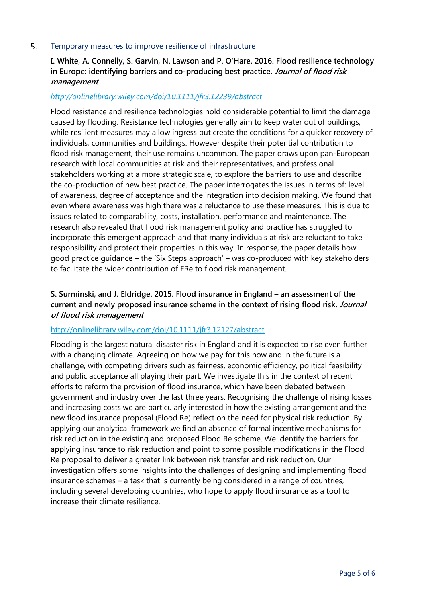#### 5. Temporary measures to improve resilience of infrastructure

# **I. White, A. Connelly, S. Garvin, N. Lawson and P. O'Hare. 2016. Flood resilience technology in Europe: identifying barriers and co-producing best practice. Journal of flood risk management**

#### *http://onlinelibrary.wiley.com/doi/10.1111/jfr3.12239/abstract*

Flood resistance and resilience technologies hold considerable potential to limit the damage caused by flooding. Resistance technologies generally aim to keep water out of buildings, while resilient measures may allow ingress but create the conditions for a quicker recovery of individuals, communities and buildings. However despite their potential contribution to flood risk management, their use remains uncommon. The paper draws upon pan-European research with local communities at risk and their representatives, and professional stakeholders working at a more strategic scale, to explore the barriers to use and describe the co-production of new best practice. The paper interrogates the issues in terms of: level of awareness, degree of acceptance and the integration into decision making. We found that even where awareness was high there was a reluctance to use these measures. This is due to issues related to comparability, costs, installation, performance and maintenance. The research also revealed that flood risk management policy and practice has struggled to incorporate this emergent approach and that many individuals at risk are reluctant to take responsibility and protect their properties in this way. In response, the paper details how good practice guidance – the 'Six Steps approach' – was co-produced with key stakeholders to facilitate the wider contribution of FRe to flood risk management.

# **S. Surminski, and J. Eldridge. 2015. Flood insurance in England – an assessment of the current and newly proposed insurance scheme in the context of rising flood risk. Journal of flood risk management**

#### <http://onlinelibrary.wiley.com/doi/10.1111/jfr3.12127/abstract>

Flooding is the largest natural disaster risk in England and it is expected to rise even further with a changing climate. Agreeing on how we pay for this now and in the future is a challenge, with competing drivers such as fairness, economic efficiency, political feasibility and public acceptance all playing their part. We investigate this in the context of recent efforts to reform the provision of flood insurance, which have been debated between government and industry over the last three years. Recognising the challenge of rising losses and increasing costs we are particularly interested in how the existing arrangement and the new flood insurance proposal (Flood Re) reflect on the need for physical risk reduction. By applying our analytical framework we find an absence of formal incentive mechanisms for risk reduction in the existing and proposed Flood Re scheme. We identify the barriers for applying insurance to risk reduction and point to some possible modifications in the Flood Re proposal to deliver a greater link between risk transfer and risk reduction. Our investigation offers some insights into the challenges of designing and implementing flood insurance schemes – a task that is currently being considered in a range of countries, including several developing countries, who hope to apply flood insurance as a tool to increase their climate resilience.